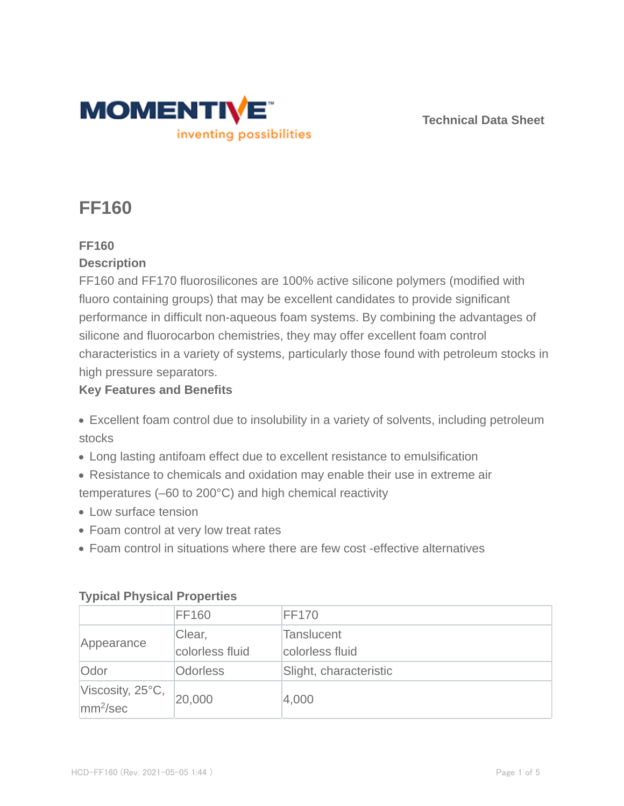

**Technical Data Sheet**

# **FF160**

## **FF160**

## **Description**

FF160 and FF170 fluorosilicones are 100% active silicone polymers (modified with fluoro containing groups) that may be excellent candidates to provide significant performance in difficult non-aqueous foam systems. By combining the advantages of silicone and fluorocarbon chemistries, they may offer excellent foam control characteristics in a variety of systems, particularly those found with petroleum stocks in high pressure separators.

## **Key Features and Benefits**

- Excellent foam control due to insolubility in a variety of solvents, including petroleum stocks
- Long lasting antifoam effect due to excellent resistance to emulsification
- Resistance to chemicals and oxidation may enable their use in extreme air temperatures (–60 to 200°C) and high chemical reactivity
- Low surface tension
- Foam control at very low treat rates
- Foam control in situations where there are few cost -effective alternatives

| $\frac{1}{2}$                                |                           |                                      |  |  |
|----------------------------------------------|---------------------------|--------------------------------------|--|--|
|                                              | <b>FF160</b>              | <b>FF170</b>                         |  |  |
| Appearance                                   | Clear,<br>colorless fluid | <b>Tanslucent</b><br>colorless fluid |  |  |
| Odor                                         | <b>Odorless</b>           | Slight, characteristic               |  |  |
| Viscosity, 25°C,<br>$\text{mm}^2/\text{sec}$ | 20,000                    | 4,000                                |  |  |

## **Typical Physical Properties**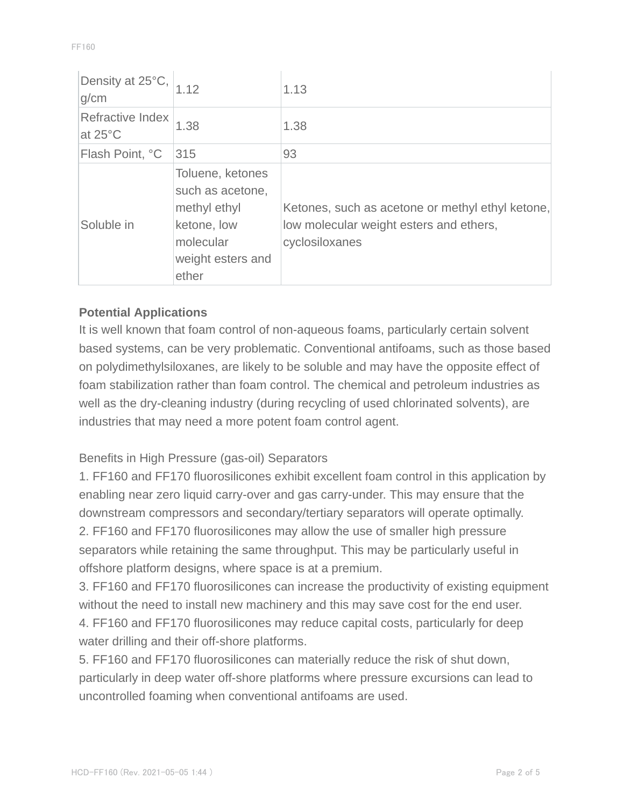| Density at 25°C,<br>g/cm              | 1.12                                                                                                           | 1.13                                                                                                          |
|---------------------------------------|----------------------------------------------------------------------------------------------------------------|---------------------------------------------------------------------------------------------------------------|
| Refractive Index<br>at $25^{\circ}$ C | 1.38                                                                                                           | 1.38                                                                                                          |
| Flash Point, °C                       | 315                                                                                                            | 93                                                                                                            |
| Soluble in                            | Toluene, ketones<br>such as acetone,<br>methyl ethyl<br>ketone, low<br>molecular<br>weight esters and<br>ether | Ketones, such as acetone or methyl ethyl ketone,<br>low molecular weight esters and ethers,<br>cyclosiloxanes |

## **Potential Applications**

It is well known that foam control of non-aqueous foams, particularly certain solvent based systems, can be very problematic. Conventional antifoams, such as those based on polydimethylsiloxanes, are likely to be soluble and may have the opposite effect of foam stabilization rather than foam control. The chemical and petroleum industries as well as the dry-cleaning industry (during recycling of used chlorinated solvents), are industries that may need a more potent foam control agent.

## Benefits in High Pressure (gas-oil) Separators

1. FF160 and FF170 fluorosilicones exhibit excellent foam control in this application by enabling near zero liquid carry-over and gas carry-under. This may ensure that the downstream compressors and secondary/tertiary separators will operate optimally. 2. FF160 and FF170 fluorosilicones may allow the use of smaller high pressure separators while retaining the same throughput. This may be particularly useful in offshore platform designs, where space is at a premium.

3. FF160 and FF170 fluorosilicones can increase the productivity of existing equipment without the need to install new machinery and this may save cost for the end user. 4. FF160 and FF170 fluorosilicones may reduce capital costs, particularly for deep water drilling and their off-shore platforms.

5. FF160 and FF170 fluorosilicones can materially reduce the risk of shut down, particularly in deep water off-shore platforms where pressure excursions can lead to uncontrolled foaming when conventional antifoams are used.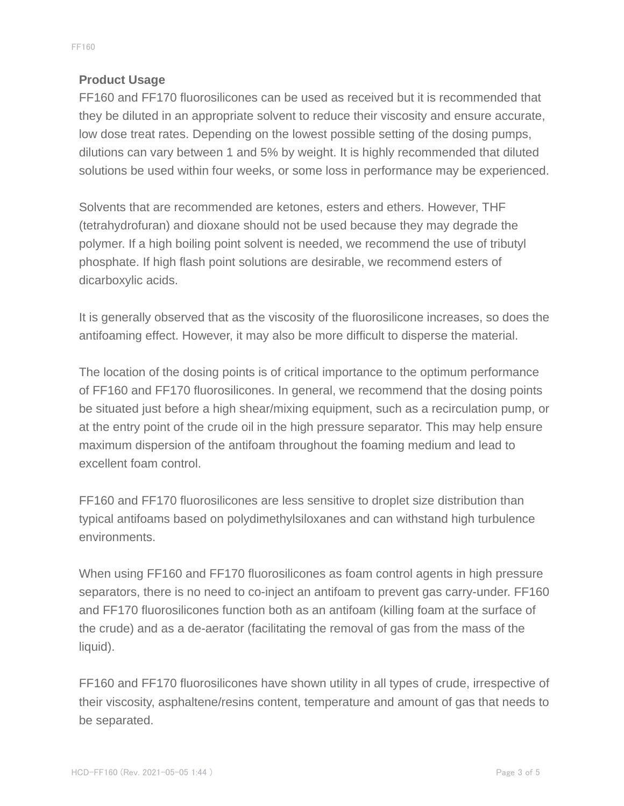## **Product Usage**

FF160 and FF170 fluorosilicones can be used as received but it is recommended that they be diluted in an appropriate solvent to reduce their viscosity and ensure accurate, low dose treat rates. Depending on the lowest possible setting of the dosing pumps, dilutions can vary between 1 and 5% by weight. It is highly recommended that diluted solutions be used within four weeks, or some loss in performance may be experienced.

Solvents that are recommended are ketones, esters and ethers. However, THF (tetrahydrofuran) and dioxane should not be used because they may degrade the polymer. If a high boiling point solvent is needed, we recommend the use of tributyl phosphate. If high flash point solutions are desirable, we recommend esters of dicarboxylic acids.

It is generally observed that as the viscosity of the fluorosilicone increases, so does the antifoaming effect. However, it may also be more difficult to disperse the material.

The location of the dosing points is of critical importance to the optimum performance of FF160 and FF170 fluorosilicones. In general, we recommend that the dosing points be situated just before a high shear/mixing equipment, such as a recirculation pump, or at the entry point of the crude oil in the high pressure separator. This may help ensure maximum dispersion of the antifoam throughout the foaming medium and lead to excellent foam control.

FF160 and FF170 fluorosilicones are less sensitive to droplet size distribution than typical antifoams based on polydimethylsiloxanes and can withstand high turbulence environments.

When using FF160 and FF170 fluorosilicones as foam control agents in high pressure separators, there is no need to co-inject an antifoam to prevent gas carry-under. FF160 and FF170 fluorosilicones function both as an antifoam (killing foam at the surface of the crude) and as a de-aerator (facilitating the removal of gas from the mass of the liquid).

FF160 and FF170 fluorosilicones have shown utility in all types of crude, irrespective of their viscosity, asphaltene/resins content, temperature and amount of gas that needs to be separated.

FF160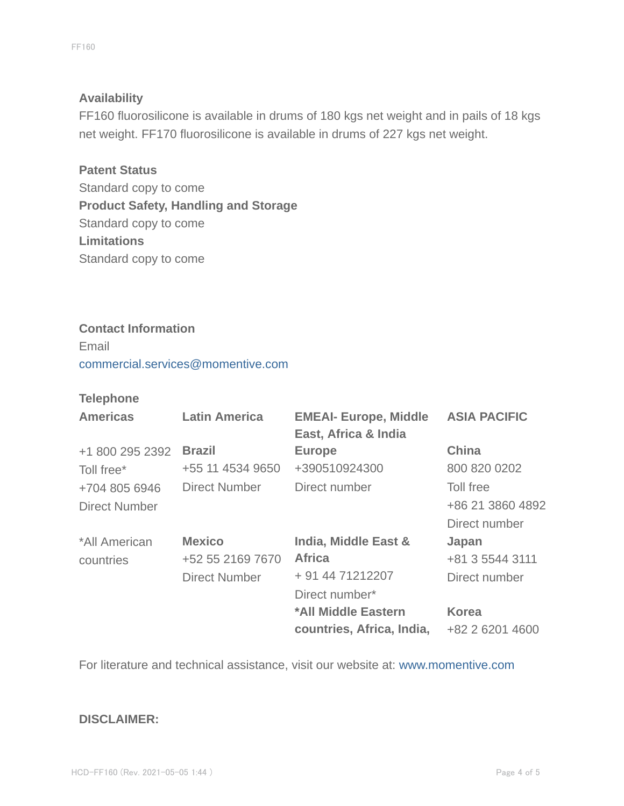#### **Availability**

FF160 fluorosilicone is available in drums of 180 kgs net weight and in pails of 18 kgs net weight. FF170 fluorosilicone is available in drums of 227 kgs net weight.

**Patent Status** Standard copy to come **Product Safety, Handling and Storage** Standard copy to come **Limitations** Standard copy to come

#### **Contact Information**

Email commercial.services@momentive.com

#### **Telephone**

| <b>Americas</b>      | <b>Latin America</b> | <b>EMEAI- Europe, Middle</b><br>East, Africa & India | <b>ASIA PACIFIC</b> |
|----------------------|----------------------|------------------------------------------------------|---------------------|
| +1 800 295 2392      | <b>Brazil</b>        | <b>Europe</b>                                        | <b>China</b>        |
| Toll free*           | +55 11 4534 9650     | +390510924300                                        | 800 820 0202        |
| +704 805 6946        | Direct Number        | Direct number                                        | Toll free           |
| <b>Direct Number</b> |                      |                                                      | +86 21 3860 4892    |
|                      |                      |                                                      | Direct number       |
| *All American        | <b>Mexico</b>        | India, Middle East &                                 | Japan               |
| countries            | +52 55 2169 7670     | <b>Africa</b>                                        | +81 3 5544 3111     |
|                      | <b>Direct Number</b> | + 91 44 71212207                                     | Direct number       |
|                      |                      | Direct number*                                       |                     |
|                      |                      | *All Middle Eastern                                  | <b>Korea</b>        |
|                      |                      | countries, Africa, India,                            | +82 2 6201 4600     |

For literature and technical assistance, visit our website at: www.momentive.com

#### **DISCLAIMER:**